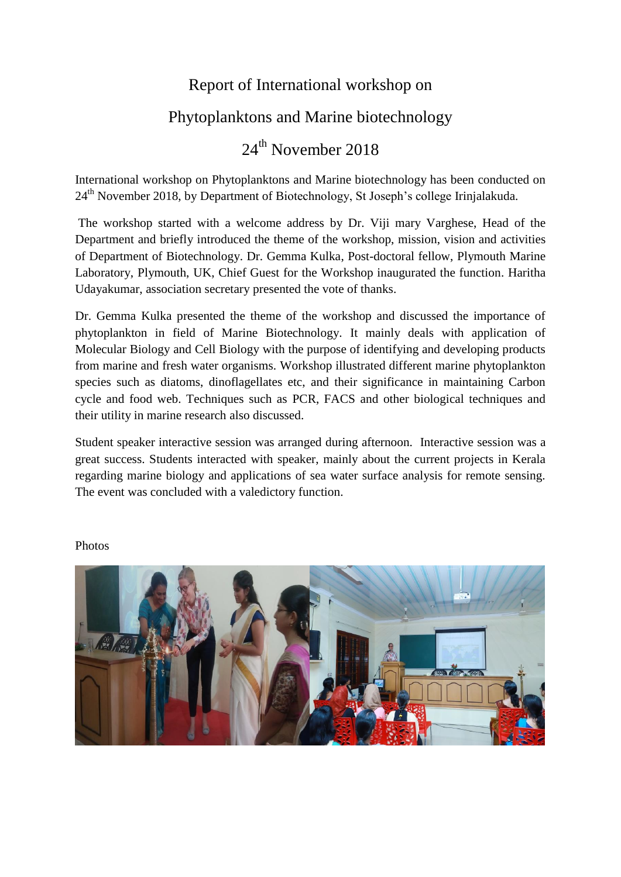## Report of International workshop on

## Phytoplanktons and Marine biotechnology

## 24<sup>th</sup> November 2018

International workshop on Phytoplanktons and Marine biotechnology has been conducted on 24<sup>th</sup> November 2018, by Department of Biotechnology, St Joseph's college Irinjalakuda.

The workshop started with a welcome address by Dr. Viji mary Varghese, Head of the Department and briefly introduced the theme of the workshop, mission, vision and activities of Department of Biotechnology. Dr. Gemma Kulka, Post-doctoral fellow, Plymouth Marine Laboratory, Plymouth, UK, Chief Guest for the Workshop inaugurated the function. Haritha Udayakumar, association secretary presented the vote of thanks.

Dr. Gemma Kulka presented the theme of the workshop and discussed the importance of phytoplankton in field of Marine Biotechnology. It mainly deals with application of Molecular Biology and Cell Biology with the purpose of identifying and developing products from marine and fresh water organisms. Workshop illustrated different marine phytoplankton species such as diatoms, dinoflagellates etc, and their significance in maintaining Carbon cycle and food web. Techniques such as PCR, FACS and other biological techniques and their utility in marine research also discussed.

Student speaker interactive session was arranged during afternoon. Interactive session was a great success. Students interacted with speaker, mainly about the current projects in Kerala regarding marine biology and applications of sea water surface analysis for remote sensing. The event was concluded with a valedictory function.



## Photos